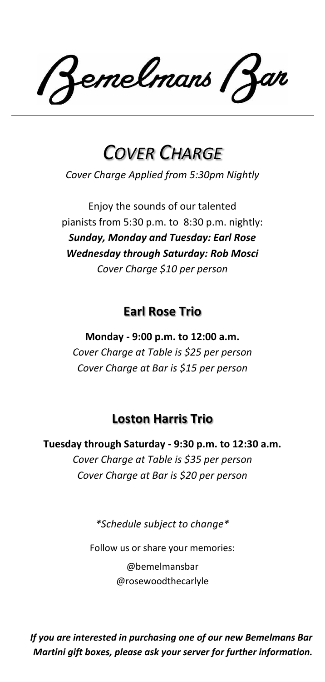emelmans (Zan

# *COVER CHARGE*

*Cover Charge Applied from 5:30pm Nightly*

Enjoy the sounds of our talented pianists from 5:30 p.m. to 8:30 p.m. nightly: *Sunday, Monday and Tuesday: Earl Rose Wednesday through Saturday: Rob Mosci Cover Charge \$10 per person*

# **Earl Rose Trio**

**Monday - 9:00 p.m. to 12:00 a.m.** *Cover Charge at Table is \$25 per person Cover Charge at Bar is \$15 per person*

# **Loston Harris Trio**

**Tuesday through Saturday - 9:30 p.m. to 12:30 a.m.** *Cover Charge at Table is \$35 per person Cover Charge at Bar is \$20 per person*

*\*Schedule subject to change\**

Follow us or share your memories:

@bemelmansbar @rosewoodthecarlyle

*If you are interested in purchasing one of our new Bemelmans Bar Martini gift boxes, please ask your server for further information.*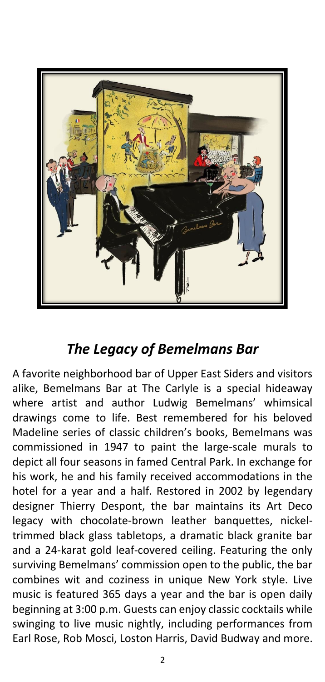

# *The Legacy of Bemelmans Bar*

A favorite neighborhood bar of Upper East Siders and visitors alike, Bemelmans Bar at The Carlyle is a special hideaway where artist and author Ludwig Bemelmans' whimsical drawings come to life. Best remembered for his beloved Madeline series of classic children's books, Bemelmans was commissioned in 1947 to paint the large-scale murals to depict all four seasons in famed Central Park. In exchange for his work, he and his family received accommodations in the hotel for a year and a half. Restored in 2002 by legendary designer Thierry Despont, the bar maintains its Art Deco legacy with chocolate-brown leather banquettes, nickeltrimmed black glass tabletops, a dramatic black granite bar and a 24-karat gold leaf-covered ceiling. Featuring the only surviving Bemelmans' commission open to the public, the bar combines wit and coziness in unique New York style. Live music is featured 365 days a year and the bar is open daily beginning at 3:00 p.m. Guests can enjoy classic cocktails while swinging to live music nightly, including performances from Earl Rose, Rob Mosci, Loston Harris, David Budway and more.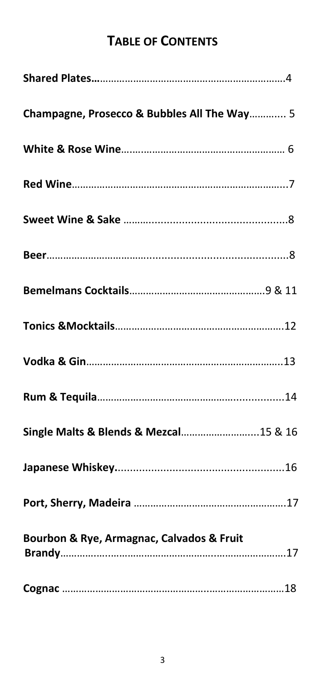# **TABLE OF CONTENTS**

| Champagne, Prosecco & Bubbles All The Way 5 |
|---------------------------------------------|
|                                             |
|                                             |
|                                             |
|                                             |
|                                             |
|                                             |
|                                             |
|                                             |
| Single Malts & Blends & Mezcal15 & 16       |
|                                             |
|                                             |
| Bourbon & Rye, Armagnac, Calvados & Fruit   |
|                                             |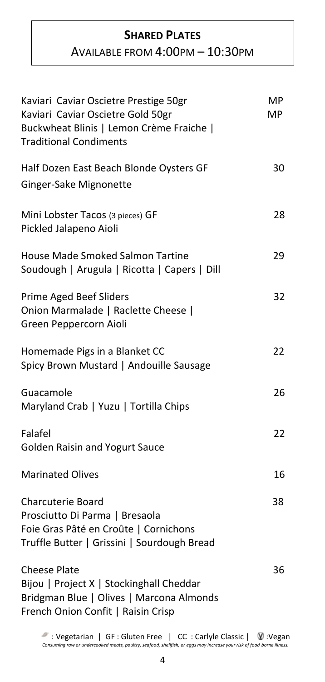## **SHARED PLATES**

# AVAILABLE FROM 4:00PM – 10:30PM

| Kaviari Caviar Oscietre Prestige 50gr<br>Kaviari Caviar Oscietre Gold 50gr<br>Buckwheat Blinis   Lemon Crème Fraiche  <br><b>Traditional Condiments</b> | <b>MP</b><br><b>MP</b> |
|---------------------------------------------------------------------------------------------------------------------------------------------------------|------------------------|
| Half Dozen East Beach Blonde Oysters GF<br>Ginger-Sake Mignonette                                                                                       | 30                     |
| Mini Lobster Tacos (3 pieces) GF<br>Pickled Jalapeno Aioli                                                                                              | 28                     |
| <b>House Made Smoked Salmon Tartine</b><br>Soudough   Arugula   Ricotta   Capers   Dill                                                                 | 29                     |
| <b>Prime Aged Beef Sliders</b><br>Onion Marmalade   Raclette Cheese  <br>Green Peppercorn Aioli                                                         | 32                     |
| Homemade Pigs in a Blanket CC<br>Spicy Brown Mustard   Andouille Sausage                                                                                | 22                     |
| Guacamole<br>Maryland Crab   Yuzu   Tortilla Chips                                                                                                      | 26                     |
| Falafel<br><b>Golden Raisin and Yogurt Sauce</b>                                                                                                        | 22                     |
| <b>Marinated Olives</b>                                                                                                                                 | 16                     |
| <b>Charcuterie Board</b><br>Prosciutto Di Parma   Bresaola<br>Foie Gras Pâté en Croûte   Cornichons<br>Truffle Butter   Grissini   Sourdough Bread      | 38                     |
| <b>Cheese Plate</b><br>Bijou   Project X   Stockinghall Cheddar<br>Bridgman Blue   Olives   Marcona Almonds<br>French Onion Confit   Raisin Crisp       | 36                     |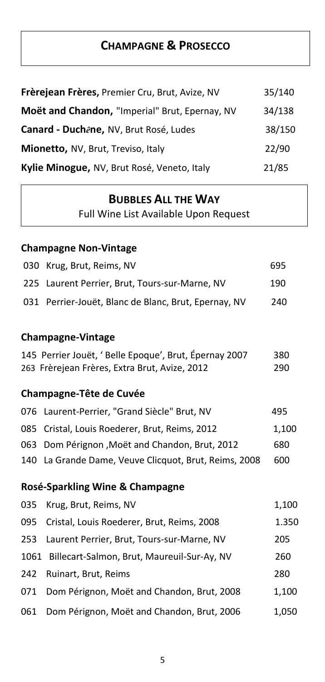# **CHAMPAGNE & PROSECCO**

| Frèrejean Frères, Premier Cru, Brut, Avize, NV | 35/140 |
|------------------------------------------------|--------|
| Moët and Chandon, "Imperial" Brut, Epernay, NV | 34/138 |
| Canard - Duchêne, NV, Brut Rosé, Ludes         | 38/150 |
| Mionetto, NV, Brut, Treviso, Italy             | 22/90  |
| Kylie Minogue, NV, Brut Rosé, Veneto, Italy    | 21/85  |

## **BUBBLES ALL THE WAY**

Full Wine List Available Upon Request

# **Champagne Non-Vintage**

| 030  | Krug, Brut, Reims, NV                                                                                  | 695        |
|------|--------------------------------------------------------------------------------------------------------|------------|
| 225  | Laurent Perrier, Brut, Tours-sur-Marne, NV                                                             | 190        |
| 031  | Perrier-Jouët, Blanc de Blanc, Brut, Epernay, NV                                                       | 240        |
|      |                                                                                                        |            |
|      | <b>Champagne-Vintage</b>                                                                               |            |
|      | 145 Perrier Jouët, 'Belle Epoque', Brut, Épernay 2007<br>263 Frèrejean Frères, Extra Brut, Avize, 2012 | 380<br>290 |
|      | <b>Champagne-Tête de Cuvée</b>                                                                         |            |
| 076  | Laurent-Perrier, "Grand Siècle" Brut, NV                                                               | 495        |
| 085  | Cristal, Louis Roederer, Brut, Reims, 2012                                                             | 1,100      |
| 063  | Dom Pérignon, Moët and Chandon, Brut, 2012                                                             | 680        |
| 140  | La Grande Dame, Veuve Clicquot, Brut, Reims, 2008                                                      | 600        |
|      | Rosé-Sparkling Wine & Champagne                                                                        |            |
| 035  | Krug, Brut, Reims, NV                                                                                  | 1,100      |
| 095  | Cristal, Louis Roederer, Brut, Reims, 2008                                                             | 1.350      |
| 253  | Laurent Perrier, Brut, Tours-sur-Marne, NV                                                             | 205        |
| 1061 | Billecart-Salmon, Brut, Maureuil-Sur-Ay, NV                                                            | 260        |
| 242  | Ruinart, Brut, Reims                                                                                   | 280        |
| 071  | Dom Pérignon, Moët and Chandon, Brut, 2008                                                             | 1,100      |
| 061  | Dom Pérignon, Moët and Chandon, Brut, 2006                                                             | 1,050      |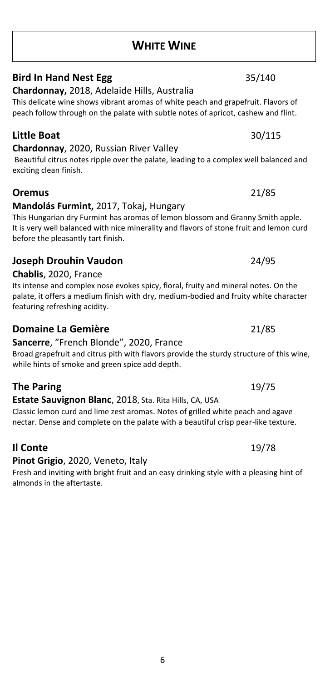# **WHITE WINE**

# **Bird In Hand Nest Egg** 35/140

**Chardonnay,** 2018, Adelaide Hills, Australia

This delicate wine shows vibrant aromas of white peach and grapefruit. Flavors of peach follow through on the palate with subtle notes of apricot, cashew and flint.

# **Little Boat** 30/115

## **Chardonnay**, 2020, Russian River Valley

Beautiful citrus notes ripple over the palate, leading to a complex well balanced and exciting clean finish.

**Oremus** 21/85

**Mandolás Furmint,** 2017, Tokaj, Hungary This Hungarian dry Furmint has aromas of lemon blossom and Granny Smith apple. It is very well balanced with nice minerality and flavors of stone fruit and lemon curd before the pleasantly tart finish.

## **Joseph Drouhin Vaudon** 24/95

**Chablis**, 2020, France

Its intense and complex nose evokes spicy, floral, fruity and mineral notes. On the palate, it offers a medium finish with dry, medium-bodied and fruity white character featuring refreshing acidity.

## **Domaine La Gemière** 21/85

## **Sancerre**, "French Blonde", 2020, France

Broad grapefruit and citrus pith with flavors provide the sturdy structure of this wine, while hints of smoke and green spice add depth.

# **The Paring** 19/75

# **Estate Sauvignon Blanc**, 2018, Sta. Rita Hills, CA, USA

Classic lemon curd and lime zest aromas. Notes of grilled white peach and agave nectar. Dense and complete on the palate with a beautiful crisp pear-like texture.

# **Il Conte** 19/78

## **Pinot Grigio**, 2020, Veneto, Italy

Fresh and inviting with bright fruit and an easy drinking style with a pleasing hint of almonds in the aftertaste.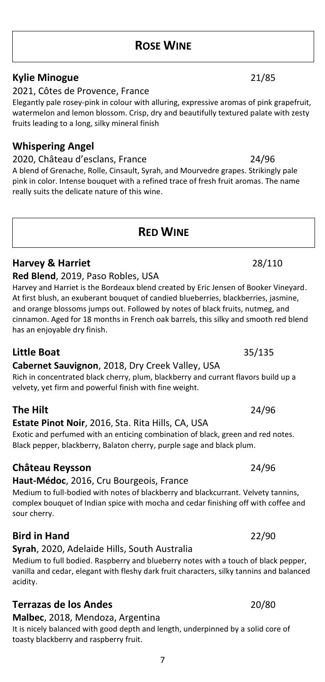# **ROSE WINE**

# **Kylie Minogue** 21/85

2021, Côtes de Provence, France

Elegantly pale rosey-pink in colour with alluring, expressive aromas of pink grapefruit, watermelon and lemon blossom. Crisp, dry and beautifully textured palate with zesty fruits leading to a long, silky mineral finish

## **Whispering Angel**

2020, Château d'esclans, France 24/96 A blend of Grenache, Rolle, Cinsault, Syrah, and Mourvedre grapes. Strikingly pale pink in color. Intense bouquet with a refined trace of fresh fruit aromas. The name really suits the delicate nature of this wine.

# **RED WINE**

### **Red Blend**, 2019, Paso Robles, USA Harvey and Harriet is the Bordeaux blend created by Eric Jensen of Booker Vineyard. At first blush, an exuberant bouquet of candied blueberries, blackberries, jasmine, and orange blossoms jumps out. Followed by notes of black fruits, nutmeg, and cinnamon. Aged for 18 months in French oak barrels, this silky and smooth red blend has an enjoyable dry finish.

**Harvey & Harriet** 28/110

**Cabernet Sauvignon**, 2018, Dry Creek Valley, USA Rich in concentrated black cherry, plum, blackberry and currant flavors build up a

velvety, yet firm and powerful finish with fine weight. **The Hilt** 24/96

### **Estate Pinot Noir**, 2016, Sta. Rita Hills, CA, USA Exotic and perfumed with an enticing combination of black, green and red notes. Black pepper, blackberry, Balaton cherry, purple sage and black plum.

# **Château Reysson** 24/96

# **Haut-Médoc**, 2016, Cru Bourgeois, France

Medium to full-bodied with notes of blackberry and blackcurrant. Velvety tannins, complex bouquet of Indian spice with mocha and cedar finishing off with coffee and sour cherry.

## **Bird in Hand** 22/90

## **Syrah**, 2020, Adelaide Hills, South Australia

Medium to full bodied. Raspberry and blueberry notes with a touch of black pepper, vanilla and cedar, elegant with fleshy dark fruit characters, silky tannins and balanced acidity.

# **Terrazas de los Andes** 20/80

**Malbec**, 2018, Mendoza, Argentina

It is nicely balanced with good depth and length, underpinned by a solid core of toasty blackberry and raspberry fruit.

# **Little Boat** 35/135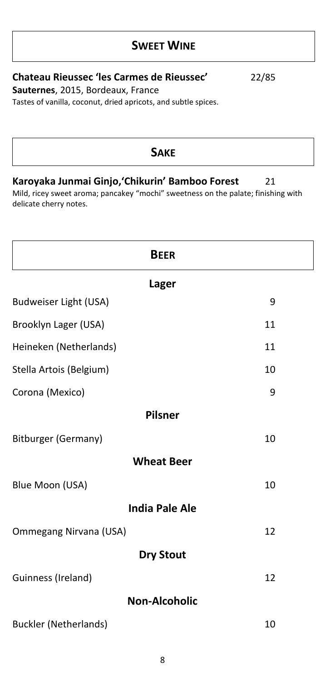# **SWEET WINE**

# **Chateau Rieussec 'les Carmes de Rieussec'** 22/85

**Sauternes**, 2015, Bordeaux, France

Tastes of vanilla, coconut, dried apricots, and subtle spices.

# **SAKE Karoyaka Junmai Ginjo,'Chikurin' Bamboo Forest** 21 Mild, ricey sweet aroma; pancakey "mochi" sweetness on the palate; finishing with delicate cherry notes. **BEER Lager** Budweiser Light (USA) 9 Brooklyn Lager (USA) 11 Heineken (Netherlands) 11 Stella Artois (Belgium) 10 Corona (Mexico) 9 **Pilsner** Bitburger (Germany) 10 **Wheat Beer** Blue Moon (USA) 10 **India Pale Ale** Ommegang Nirvana (USA) 12

## **Dry Stout**

| Guinness (Ireland) |  |
|--------------------|--|
|                    |  |

# **Non-Alcoholic**

Buckler (Netherlands) 10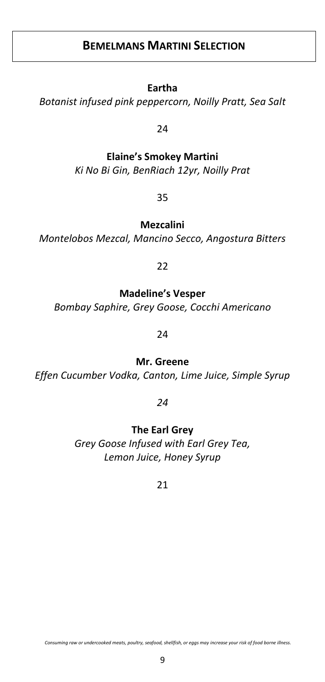# **BEMELMANS MARTINI SELECTION**

### **Eartha**

*Botanist infused pink peppercorn, Noilly Pratt, Sea Salt*

24

# **Elaine's Smokey Martini**  *Ki No Bi Gin, BenRiach 12yr, Noilly Prat*

35

**Mezcalini** 

*Montelobos Mezcal, Mancino Secco, Angostura Bitters*

22

## **Madeline's Vesper**

*Bombay Saphire, Grey Goose, Cocchi Americano* 

24

**Mr. Greene**

*Effen Cucumber Vodka, Canton, Lime Juice, Simple Syrup*

*24*

**The Earl Grey**

*Grey Goose Infused with Earl Grey Tea, Lemon Juice, Honey Syrup*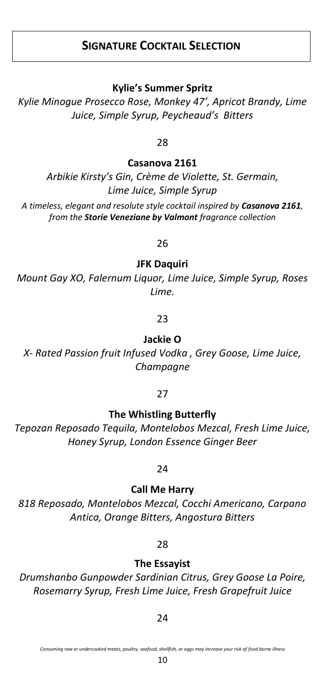# **SIGNATURE COCKTAIL SELECTION**

**Kylie's Summer Spritz**

*Kylie Minogue Prosecco Rose, Monkey 47', Apricot Brandy, Lime Juice, Simple Syrup, Peycheaud's Bitters*

28

**Casanova 2161**

*Arbikie Kirsty's Gin, Crème de Violette, St. Germain, Lime Juice, Simple Syrup A timeless, elegant and resolute style cocktail inspired by Casanova 2161, from the Storie Veneziane by Valmont fragrance collection*

26

**JFK Daquiri**

*Mount Gay XO, Falernum Liquor, Lime Juice, Simple Syrup, Roses Lime.*

23

**Jackie O** 

*X- Rated Passion fruit Infused Vodka , Grey Goose, Lime Juice, Champagne*

### 27

**The Whistling Butterfly** 

*Tepozan Reposado Tequila, Montelobos Mezcal, Fresh Lime Juice, Honey Syrup, London Essence Ginger Beer*

## 24

**Call Me Harry**

*818 Reposado, Montelobos Mezcal, Cocchi Americano, Carpano Antica, Orange Bitters, Angostura Bitters*

## 28

**The Essayist** 

*Drumshanbo Gunpowder Sardinian Citrus, Grey Goose La Poire, Rosemarry Syrup, Fresh Lime Juice, Fresh Grapefruit Juice*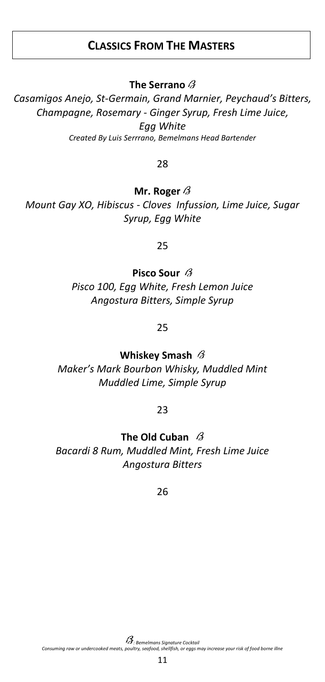# **CLASSICS FROM THE MASTERS**

**The Serrano**

*Casamigos Anejo, St-Germain, Grand Marnier, Peychaud's Bitters, Champagne, Rosemary - Ginger Syrup, Fresh Lime Juice, Egg White Created By Luis Serrrano, Bemelmans Head Bartender*

28

**Mr. Roger**

*Mount Gay XO, Hibiscus - Cloves Infussion, Lime Juice, Sugar Syrup, Egg White*

25

**Pisco Sour** *Pisco 100, Egg White, Fresh Lemon Juice Angostura Bitters, Simple Syrup*

25

**Whiskey Smash** 

*Maker's Mark Bourbon Whisky, Muddled Mint Muddled Lime, Simple Syrup*

23

**The Old Cuban**  *Bacardi 8 Rum, Muddled Mint, Fresh Lime Juice Angostura Bitters*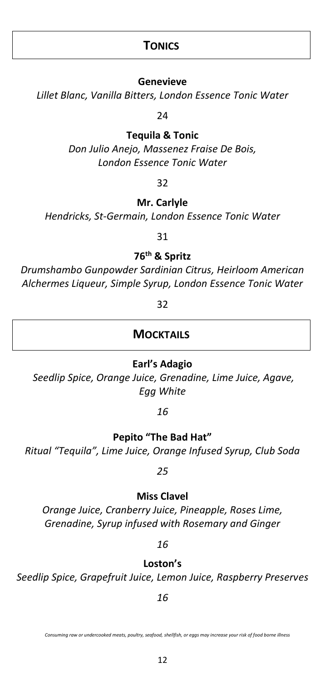# **TONICS**

### **Genevieve**

*Lillet Blanc, Vanilla Bitters, London Essence Tonic Water*

24

### **Tequila & Tonic**

*Don Julio Anejo, Massenez Fraise De Bois, London Essence Tonic Water*

### 32

### **Mr. Carlyle**

*Hendricks, St-Germain, London Essence Tonic Water*

### 31

**76th & Spritz**

*Drumshambo Gunpowder Sardinian Citrus, Heirloom American Alchermes Liqueur, Simple Syrup, London Essence Tonic Water*

32

## **MOCKTAILS**

## **Earl's Adagio**

*Seedlip Spice, Orange Juice, Grenadine, Lime Juice, Agave, Egg White*

*16*

**Pepito "The Bad Hat"**

*Ritual "Tequila", Lime Juice, Orange Infused Syrup, Club Soda*

## *25*

### **Miss Clavel**

*Orange Juice, Cranberry Juice, Pineapple, Roses Lime, Grenadine, Syrup infused with Rosemary and Ginger*

*16*

**Loston's**

*Seedlip Spice, Grapefruit Juice, Lemon Juice, Raspberry Preserves*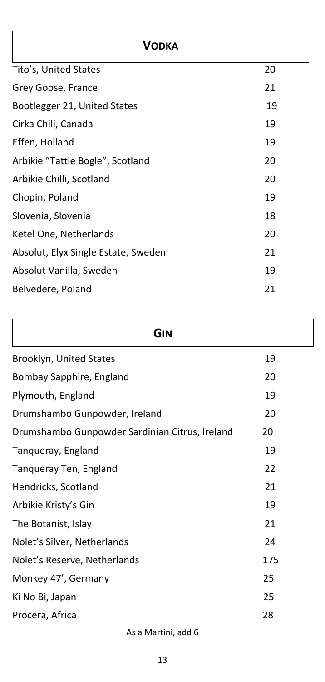| <b>VODKA</b>                        |    |
|-------------------------------------|----|
| Tito's, United States               | 20 |
| Grey Goose, France                  | 21 |
| Bootlegger 21, United States        | 19 |
| Cirka Chili, Canada                 | 19 |
| Effen, Holland                      | 19 |
| Arbikie "Tattie Bogle", Scotland    | 20 |
| Arbikie Chilli, Scotland            | 20 |
| Chopin, Poland                      | 19 |
| Slovenia, Slovenia                  | 18 |
| Ketel One, Netherlands              | 20 |
| Absolut, Elyx Single Estate, Sweden | 21 |
| Absolut Vanilla, Sweden             | 19 |
| Belvedere, Poland                   | 21 |
|                                     |    |

| . .<br>×<br>۰.<br>٠<br>۰. |  |
|---------------------------|--|
|---------------------------|--|

| Brooklyn, United States                        | 19  |
|------------------------------------------------|-----|
| Bombay Sapphire, England                       | 20  |
| Plymouth, England                              | 19  |
| Drumshambo Gunpowder, Ireland                  | 20  |
| Drumshambo Gunpowder Sardinian Citrus, Ireland | 20  |
| Tanqueray, England                             | 19  |
| Tanqueray Ten, England                         | 22  |
| Hendricks, Scotland                            | 21  |
| Arbikie Kristy's Gin                           | 19  |
| The Botanist, Islay                            | 21  |
| Nolet's Silver, Netherlands                    | 24  |
| Nolet's Reserve, Netherlands                   | 175 |
| Monkey 47', Germany                            | 25  |
| Ki No Bi, Japan                                | 25  |
| Procera, Africa                                | 28  |
|                                                |     |

As a Martini, add 6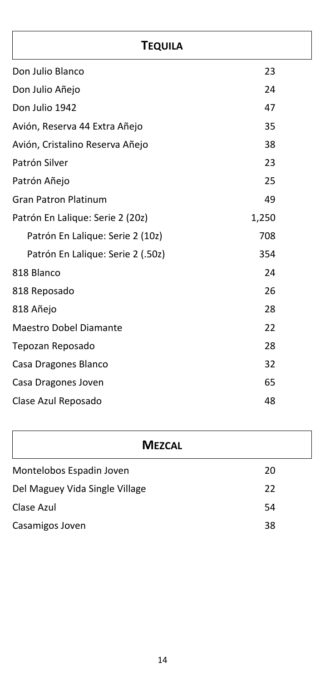# **TEQUILA**

| Don Julio Blanco                  | 23    |
|-----------------------------------|-------|
| Don Julio Añejo                   | 24    |
| Don Julio 1942                    | 47    |
| Avión, Reserva 44 Extra Añejo     | 35    |
| Avión, Cristalino Reserva Añejo   | 38    |
| Patrón Silver                     | 23    |
| Patrón Añejo                      | 25    |
| <b>Gran Patron Platinum</b>       | 49    |
| Patrón En Lalique: Serie 2 (20z)  | 1,250 |
| Patrón En Lalique: Serie 2 (10z)  | 708   |
| Patrón En Lalique: Serie 2 (.50z) | 354   |
| 818 Blanco                        | 24    |
| 818 Reposado                      | 26    |
| 818 Añejo                         | 28    |
| <b>Maestro Dobel Diamante</b>     | 22    |
| Tepozan Reposado                  | 28    |
| Casa Dragones Blanco              | 32    |
| Casa Dragones Joven               | 65    |
| Clase Azul Reposado               | 48    |

# **MEZCAL**

| Montelobos Espadin Joven       | 20 |
|--------------------------------|----|
| Del Maguey Vida Single Village | 22 |
| Clase Azul                     | 54 |
| Casamigos Joven                | 38 |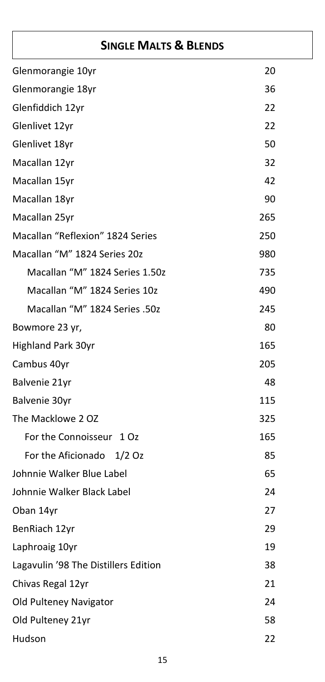# **SINGLE MALTS & BLENDS**

|                                      | 20  |
|--------------------------------------|-----|
| Glenmorangie 10yr                    |     |
| Glenmorangie 18yr                    | 36  |
| Glenfiddich 12yr                     | 22  |
| Glenlivet 12yr                       | 22  |
| Glenlivet 18yr                       | 50  |
| Macallan 12yr                        | 32  |
| Macallan 15yr                        | 42  |
| Macallan 18yr                        | 90  |
| Macallan 25yr                        | 265 |
| Macallan "Reflexion" 1824 Series     | 250 |
| Macallan "M" 1824 Series 20z         | 980 |
| Macallan "M" 1824 Series 1.50z       | 735 |
| Macallan "M" 1824 Series 10z         | 490 |
| Macallan "M" 1824 Series .50z        | 245 |
| Bowmore 23 yr,                       | 80  |
| <b>Highland Park 30yr</b>            | 165 |
| Cambus 40yr                          | 205 |
| Balvenie 21yr                        | 48  |
| Balvenie 30yr                        | 115 |
| The Macklowe 2 OZ                    | 325 |
| For the Connoisseur 1 Oz             | 165 |
| For the Aficionado<br>1/2Oz          | 85  |
| Johnnie Walker Blue Label            | 65  |
| Johnnie Walker Black Label           | 24  |
| Oban 14yr                            | 27  |
| BenRiach 12yr                        | 29  |
| Laphroaig 10yr                       | 19  |
| Lagavulin '98 The Distillers Edition | 38  |
| Chivas Regal 12yr                    | 21  |
| Old Pulteney Navigator               | 24  |
| Old Pulteney 21yr                    | 58  |
| Hudson                               | 22  |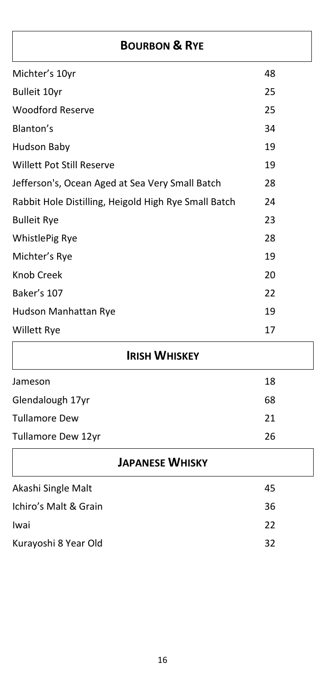# **BOURBON & RYE**

| Michter's 10yr                                       | 48 |
|------------------------------------------------------|----|
| <b>Bulleit 10yr</b>                                  | 25 |
| <b>Woodford Reserve</b>                              | 25 |
| Blanton's                                            | 34 |
| Hudson Baby                                          | 19 |
| <b>Willett Pot Still Reserve</b>                     | 19 |
| Jefferson's, Ocean Aged at Sea Very Small Batch      | 28 |
| Rabbit Hole Distilling, Heigold High Rye Small Batch | 24 |
| <b>Bulleit Rye</b>                                   | 23 |
| <b>WhistlePig Rye</b>                                | 28 |
| Michter's Rye                                        | 19 |
| <b>Knob Creek</b>                                    | 20 |
| Baker's 107                                          | 22 |
| Hudson Manhattan Rye                                 | 19 |
| <b>Willett Rye</b>                                   | 17 |

# **IRISH WHISKEY**

| Jameson              | 18 |
|----------------------|----|
| Glendalough 17yr     | 68 |
| <b>Tullamore Dew</b> | 21 |
| Tullamore Dew 12yr   | 26 |

| <b>JAPANESE WHISKY</b> |    |  |
|------------------------|----|--|
| Akashi Single Malt     | 45 |  |
| Ichiro's Malt & Grain  | 36 |  |
| Iwai                   | 22 |  |
| Kurayoshi 8 Year Old   | 32 |  |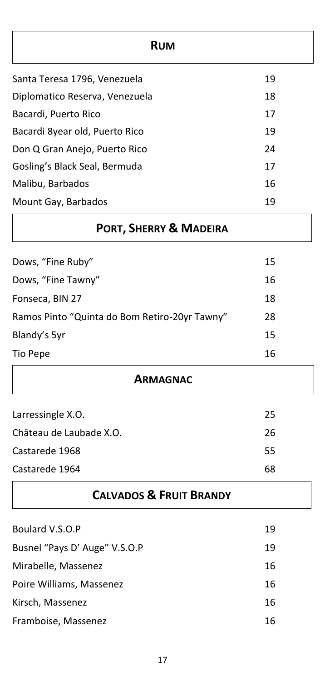| <b>RUM</b>                     |    |
|--------------------------------|----|
| Santa Teresa 1796, Venezuela   | 19 |
| Diplomatico Reserva, Venezuela | 18 |
| Bacardi, Puerto Rico           | 17 |
| Bacardi 8year old, Puerto Rico | 19 |
| Don Q Gran Anejo, Puerto Rico  | 24 |
| Gosling's Black Seal, Bermuda  | 17 |
| Malibu, Barbados               | 16 |
| Mount Gay, Barbados            | 19 |

| <b>PORT, SHERRY &amp; MADEIRA</b> |     |
|-----------------------------------|-----|
| Dows, "Fine Ruby"                 | 15  |
| Dows, "Fine Tawny"                | 16. |

| Fonseca, BIN 27                               | 18 |
|-----------------------------------------------|----|
| Ramos Pinto "Quinta do Bom Retiro-20yr Tawny" | 28 |
| Blandy's 5yr                                  | 15 |
| Tio Pepe                                      | 16 |

| 25 |
|----|
| 26 |
| 55 |
| 68 |
|    |

**CALVADOS & FRUIT BRANDY**

**ARMAGNAC**

| Boulard V.S.O.P               | 19 |
|-------------------------------|----|
| Busnel "Pays D' Auge" V.S.O.P | 19 |
| Mirabelle, Massenez           | 16 |
| Poire Williams, Massenez      | 16 |
| Kirsch, Massenez              | 16 |
| Framboise, Massenez           | 16 |